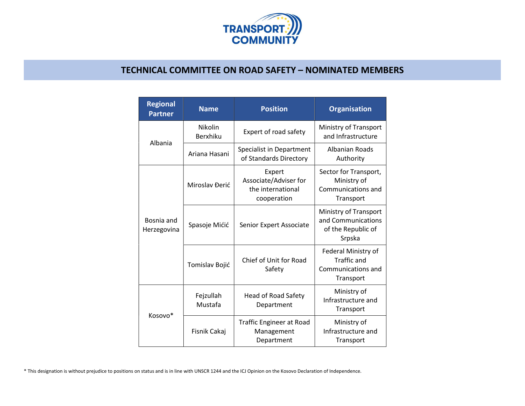

## TECHNICAL COMMITTEE ON ROAD SAFETY – NOMINATED MEMBERS

|  | <b>Regional</b><br><b>Partner</b> | <b>Name</b>          | <b>Position</b>                                                     | <b>Organisation</b>                                                          |
|--|-----------------------------------|----------------------|---------------------------------------------------------------------|------------------------------------------------------------------------------|
|  | Albania                           | Nikolin<br>Berxhiku  | Expert of road safety                                               | Ministry of Transport<br>and Infrastructure                                  |
|  |                                   | Ariana Hasani        | Specialist in Department<br>of Standards Directory                  | <b>Albanian Roads</b><br>Authority                                           |
|  | Bosnia and<br>Herzegovina         | Miroslav Đerić       | Expert<br>Associate/Adviser for<br>the international<br>cooperation | Sector for Transport,<br>Ministry of<br>Communications and<br>Transport      |
|  |                                   | Spasoje Mićić        | Senior Expert Associate                                             | Ministry of Transport<br>and Communications<br>of the Republic of<br>Srpska  |
|  |                                   | Tomislav Bojić       | Chief of Unit for Road<br>Safety                                    | Federal Ministry of<br><b>Traffic and</b><br>Communications and<br>Transport |
|  | Kosovo*                           | Fejzullah<br>Mustafa | <b>Head of Road Safety</b><br>Department                            | Ministry of<br>Infrastructure and<br>Transport                               |
|  |                                   | Fisnik Cakaj         | <b>Traffic Engineer at Road</b><br>Management<br>Department         | Ministry of<br>Infrastructure and<br>Transport                               |

\* This designation is without prejudice to positions on status and is in line with UNSCR 1244 and the ICJ Opinion on the Kosovo Declaration of Independence.